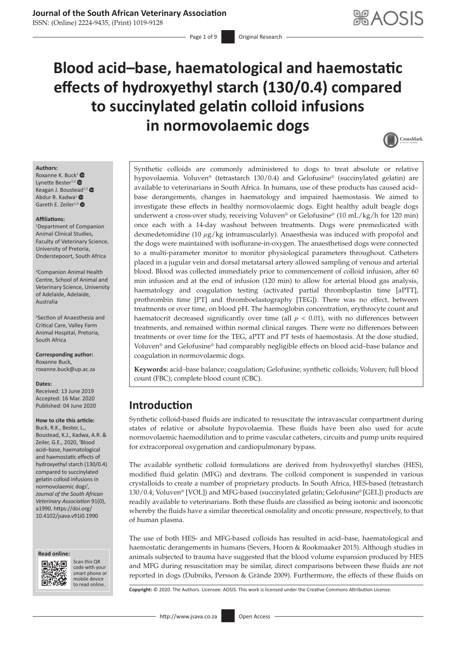Page 1 of 9 **Original Research** 

# **Blood acid–base, haematological and haemostatic effects of hydroxyethyl starch (130/0.4) compared to succinylated gelatin colloid infusions in normovolaemic dogs**



#### **Authors:**

Roxanne K. Buc[k](https://orcid.org/0000-0003-4377-851X)<sup>[1](https://orcid.org/0000-0001-5999-2751)</sup> Lynette Bester<sup>1,2</sup> Keagan J. Bouste[ad](https://orcid.org/0000-0002-5955-2067)<sup>1,[3](https://orcid.org/0000-0002-0665-2945)</sup> Abdur R. Kadwa<sup>1</sup> Gareth E. Zeiler<sup>1,[3](https://orcid.org/0000-0001-7653-7726)</sup>

#### **Affiliations:**

1 Department of Companion Animal Clinical Studies, Faculty of Veterinary Science, University of Pretoria, Onderstepoort, South Africa

2 Companion Animal Health Centre, School of Animal and Veterinary Science, University of Adelaide, Adelaide, Australia

3 Section of Anaesthesia and Critical Care, Valley Farm Animal Hospital, Pretoria, South Africa

**Corresponding author:** Roxanne Buck, [roxanne.buck@up.ac.za](mailto:roxanne.buck@up.ac.za)

#### **Dates:**

Received: 13 June 2019 Accepted: 16 Mar. 2020 Published: 04 June 2020

#### **How to cite this article:**

Buck, R.K., Bester, L., Boustead, K.J., Kadwa, A.R. & Zeiler, G.E., 2020, 'Blood acid–base, haematological and haemostatic effects of hydroxyethyl starch (130/0.4) compared to succinylated gelatin colloid infusions in normovolaemic dogs', *Journal of the South African Veterinary Association* 91(0), a1990. [https://doi.org/](https://doi.org/10.4102/jsava.v91i0.1990) [10.4102/jsava.v91i0.1990](https://doi.org/10.4102/jsava.v91i0.1990)





Scan this QR code with your Scan this QR<br>code with your<br>smart phone or<br>mobile device mobile device to read online. to read online.

Synthetic colloids are commonly administered to dogs to treat absolute or relative hypovolaemia. Voluven® (tetrastarch 130/0.4) and Gelofusine® (succinylated gelatin) are available to veterinarians in South Africa. In humans, use of these products has caused acid– base derangements, changes in haematology and impaired haemostasis. We aimed to investigate these effects in healthy normovolaemic dogs. Eight healthy adult beagle dogs underwent a cross-over study, receiving Voluven® or Gelofusine® (10 mL/kg/h for 120 min) once each with a 14-day washout between treatments. Dogs were premedicated with dexmedetomidine (10 *µ*g/kg intramuscularly). Anaesthesia was induced with propofol and the dogs were maintained with isoflurane-in-oxygen. The anaesthetised dogs were connected to a multi-parameter monitor to monitor physiological parameters throughout. Catheters placed in a jugular vein and dorsal metatarsal artery allowed sampling of venous and arterial blood. Blood was collected immediately prior to commencement of colloid infusion, after 60 min infusion and at the end of infusion (120 min) to allow for arterial blood gas analysis, haematology and coagulation testing (activated partial thromboplastin time [aPTT], prothrombin time [PT] and thromboelastography [TEG]). There was no effect, between treatments or over time, on blood pH. The haemoglobin concentration, erythrocyte count and haematocrit decreased significantly over time (all  $p < 0.01$ ), with no differences between treatments, and remained within normal clinical ranges. There were no differences between treatments or over time for the TEG, aPTT and PT tests of haemostasis. At the dose studied, Voluven® and Gelofusine® had comparably negligible effects on blood acid–base balance and coagulation in normovolaemic dogs.

**Keywords:** acid–base balance; coagulation; Gelofusine; synthetic colloids; Voluven; full blood count (FBC); complete blood count (CBC).

# **Introduction**

Synthetic colloid-based fluids are indicated to resuscitate the intravascular compartment during states of relative or absolute hypovolaemia. These fluids have been also used for acute normovolaemic haemodilution and to prime vascular catheters, circuits and pump units required for extracorporeal oxygenation and cardiopulmonary bypass.

The available synthetic colloid formulations are derived from hydroxyethyl starches (HES), modified fluid gelatin (MFG) and dextrans. The colloid component is suspended in various crystalloids to create a number of proprietary products. In South Africa, HES-based (tetrastarch 130/0.4; Voluven® [VOL]) and MFG-based (succinylated gelatin; Gelofusine® [GEL]) products are readily available to veterinarians. Both these fluids are classified as being isotonic and isooncotic whereby the fluids have a similar theoretical osmolality and oncotic pressure, respectively, to that of human plasma.

The use of both HES- and MFG-based colloids has resulted in acid–base, haematological and haemostatic derangements in humans (Severs, Hoorn & Rookmaaker 2015). Although studies in animals subjected to trauma have suggested that the blood volume expansion produced by HES and MFG during resuscitation may be similar, direct comparisons between these fluids are not reported in dogs (Dubniks, Persson & Grände 2009). Furthermore, the effects of these fluids on

**Copyright:** © 2020. The Authors. Licensee: AOSIS. This work is licensed under the Creative Commons Attribution License.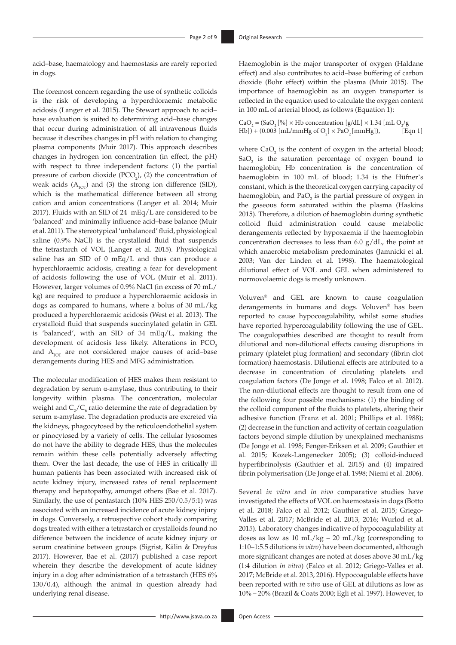acid–base, haematology and haemostasis are rarely reported in dogs.

The foremost concern regarding the use of synthetic colloids is the risk of developing a hyperchloraemic metabolic acidosis (Langer et al. 2015). The Stewart approach to acid– base evaluation is suited to determining acid–base changes that occur during administration of all intravenous fluids because it describes changes in pH with relation to changing plasma components (Muir 2017). This approach describes changes in hydrogen ion concentration (in effect, the pH) with respect to three independent factors: (1) the partial pressure of carbon dioxide  $(PCO<sub>2</sub>)$ , (2) the concentration of weak acids  $(A<sub>TOT</sub>)$  and (3) the strong ion difference (SID), which is the mathematical difference between all strong cation and anion concentrations (Langer et al. 2014; Muir 2017). Fluids with an SID of 24 mEq/L are considered to be 'balanced' and minimally influence acid–base balance (Muir et al. 2011). The stereotypical 'unbalanced' fluid, physiological saline (0.9% NaCl) is the crystalloid fluid that suspends the tetrastarch of VOL (Langer et al. 2015). Physiological saline has an SID of 0 mEq/L and thus can produce a hyperchloraemic acidosis, creating a fear for development of acidosis following the use of VOL (Muir et al. 2011). However, larger volumes of 0.9% NaCl (in excess of 70 mL/ kg) are required to produce a hyperchloraemic acidosis in dogs as compared to humans, where a bolus of 30 mL/kg produced a hyperchloraemic acidosis (West et al. 2013). The crystalloid fluid that suspends succinylated gelatin in GEL is 'balanced', with an SID of 34 mEq/L, making the development of acidosis less likely. Alterations in PCO<sub>2</sub> and  $A_{\text{TOT}}$  are not considered major causes of acid–base derangements during HES and MFG administration.

The molecular modification of HES makes them resistant to degradation by serum α-amylase, thus contributing to their longevity within plasma. The concentration, molecular weight and  $C_2/C_6$  ratio determine the rate of degradation by serum α-amylase. The degradation products are excreted via the kidneys, phagocytosed by the reticuloendothelial system or pinocytosed by a variety of cells. The cellular lysosomes do not have the ability to degrade HES, thus the molecules remain within these cells potentially adversely affecting them. Over the last decade, the use of HES in critically ill human patients has been associated with increased risk of acute kidney injury, increased rates of renal replacement therapy and hepatopathy, amongst others (Bae et al. 2017). Similarly, the use of pentastarch (10% HES 250/0.5/5:1) was associated with an increased incidence of acute kidney injury in dogs. Conversely, a retrospective cohort study comparing dogs treated with either a tetrastarch or crystalloids found no difference between the incidence of acute kidney injury or serum creatinine between groups (Sigrist, Kälin & Dreyfus 2017). However, Bae et al. (2017) published a case report wherein they describe the development of acute kidney injury in a dog after administration of a tetrastarch (HES 6% 130/0.4), although the animal in question already had underlying renal disease.

Haemoglobin is the major transporter of oxygen (Haldane effect) and also contributes to acid–base buffering of carbon dioxide (Bohr effect) within the plasma (Muir 2015). The importance of haemoglobin as an oxygen transporter is reflected in the equation used to calculate the oxygen content in 100 mL of arterial blood, as follows (Equation 1):

CaO<sub>2</sub> = (SaO<sub>2</sub> [%] × Hb concentration [g/dL] × 1.34 [mL O<sub>2</sub>/g  $[Hb]) + (0.003 [mL/mm Hg of O<sub>2</sub>] \times PaO<sub>2</sub> [mm Hg]),$  [Eqn 1]

where  $CaO<sub>2</sub>$  is the content of oxygen in the arterial blood;  $SaO<sub>2</sub>$  is the saturation percentage of oxygen bound to haemoglobin; Hb concentration is the concentration of haemoglobin in 100 mL of blood; 1.34 is the Hüfner's constant, which is the theoretical oxygen carrying capacity of haemoglobin, and  $PaO<sub>2</sub>$  is the partial pressure of oxygen in the gaseous form saturated within the plasma (Haskins 2015). Therefore, a dilution of haemoglobin during synthetic colloid fluid administration could cause metabolic derangements reflected by hypoxaemia if the haemoglobin concentration decreases to less than 6.0 g/dL, the point at which anaerobic metabolism predominates (Jamnicki et al. 2003; Van der Linden et al. 1998). The haematological dilutional effect of VOL and GEL when administered to normovolaemic dogs is mostly unknown.

Voluven® and GEL are known to cause coagulation derangements in humans and dogs. Voluven® has been reported to cause hypocoagulability, whilst some studies have reported hypercoagulability following the use of GEL. The coagulopathies described are thought to result from dilutional and non-dilutional effects causing disruptions in primary (platelet plug formation) and secondary (fibrin clot formation) haemostasis. Dilutional effects are attributed to a decrease in concentration of circulating platelets and coagulation factors (De Jonge et al. 1998; Falco et al. 2012). The non-dilutional effects are thought to result from one of the following four possible mechanisms: (1) the binding of the colloid component of the fluids to platelets, altering their adhesive function (Franz et al. 2001; Phillips et al. 1988); (2) decrease in the function and activity of certain coagulation factors beyond simple dilution by unexplained mechanisms (De Jonge et al. 1998; Fenger-Eriksen et al. 2009; Gauthier et al. 2015; Kozek-Langenecker 2005); (3) colloid-induced hyperfibrinolysis (Gauthier et al. 2015) and (4) impaired fibrin polymerisation (De Jonge et al. 1998; Niemi et al. 2006).

Several *in vitro* and *in vivo* comparative studies have investigated the effects of VOL on haemostasis in dogs (Botto et al. 2018; Falco et al. 2012; Gauthier et al. 2015; Griego-Valles et al. 2017; McBride et al. 2013, 2016; Wurlod et al. 2015). Laboratory changes indicative of hypocoagulability at doses as low as 10 mL/kg – 20 mL/kg (corresponding to 1:10–1:5.5 dilutions *in vitro*) have been documented, although more significant changes are noted at doses above 30 mL/kg (1:4 dilution *in vitro*) (Falco et al. 2012; Griego-Valles et al. 2017; McBride et al. 2013, 2016). Hypocoagulable effects have been reported with *in vitro* use of GEL at dilutions as low as 10% – 20% (Brazil & Coats 2000; Egli et al. 1997). However, to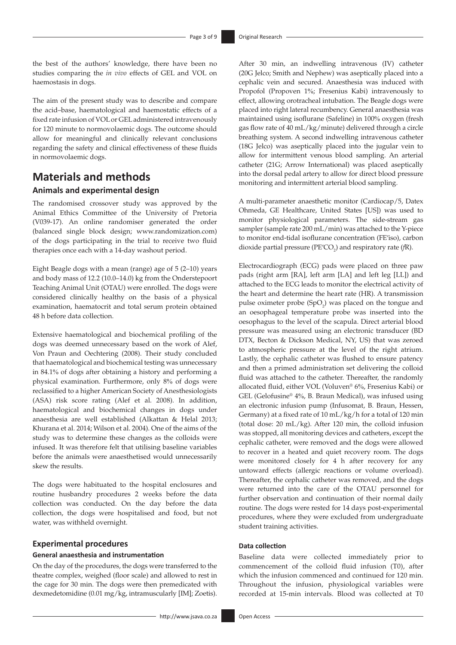the best of the authors' knowledge, there have been no studies comparing the *in vivo* effects of GEL and VOL on haemostasis in dogs.

The aim of the present study was to describe and compare the acid–base, haematological and haemostatic effects of a fixed rate infusion of VOL or GEL administered intravenously for 120 minute to normovolaemic dogs. The outcome should allow for meaningful and clinically relevant conclusions regarding the safety and clinical effectiveness of these fluids in normovolaemic dogs.

# **Materials and methods Animals and experimental design**

The randomised crossover study was approved by the Animal Ethics Committee of the University of Pretoria (V039-17). An online randomiser generated the order (balanced single block design; <www.randomization.com>) of the dogs participating in the trial to receive two fluid therapies once each with a 14-day washout period.

Eight Beagle dogs with a mean (range) age of 5 (2–10) years and body mass of 12.2 (10.0–14.0) kg from the Onderstepoort Teaching Animal Unit (OTAU) were enrolled. The dogs were considered clinically healthy on the basis of a physical examination, haematocrit and total serum protein obtained 48 h before data collection.

Extensive haematological and biochemical profiling of the dogs was deemed unnecessary based on the work of Alef, Von Praun and Oechtering (2008). Their study concluded that haematological and biochemical testing was unnecessary in 84.1% of dogs after obtaining a history and performing a physical examination. Furthermore, only 8% of dogs were reclassified to a higher American Society of Anesthesiologists (ASA) risk score rating (Alef et al. 2008). In addition, haematological and biochemical changes in dogs under anaesthesia are well established (Alkattan & Helal 2013; Khurana et al. 2014; Wilson et al. 2004). One of the aims of the study was to determine these changes as the colloids were infused. It was therefore felt that utilising baseline variables before the animals were anaesthetised would unnecessarily skew the results.

The dogs were habituated to the hospital enclosures and routine husbandry procedures 2 weeks before the data collection was conducted. On the day before the data collection, the dogs were hospitalised and food, but not water, was withheld overnight.

#### **Experimental procedures**

#### **General anaesthesia and instrumentation**

On the day of the procedures, the dogs were transferred to the theatre complex, weighed (floor scale) and allowed to rest in the cage for 30 min. The dogs were then premedicated with dexmedetomidine (0.01 mg/kg, intramuscularly [IM]; Zoetis).

(20G Jelco; Smith and Nephew) was aseptically placed into a cephalic vein and secured. Anaesthesia was induced with Propofol (Propoven 1%; Fresenius Kabi) intravenously to effect, allowing orotracheal intubation. The Beagle dogs were placed into right lateral recumbency. General anaesthesia was maintained using isoflurane (Safeline) in 100% oxygen (fresh gas flow rate of 40 mL/kg/minute) delivered through a circle breathing system. A second indwelling intravenous catheter (18G Jelco) was aseptically placed into the jugular vein to allow for intermittent venous blood sampling. An arterial catheter (21G; Arrow International) was placed aseptically into the dorsal pedal artery to allow for direct blood pressure monitoring and intermittent arterial blood sampling.

After 30 min, an indwelling intravenous (IV) catheter

A multi-parameter anaesthetic monitor (Cardiocap/5, Datex Ohmeda, GE Healthcare, United States [US]) was used to monitor physiological parameters. The side-stream gas sampler (sample rate 200 mL/min) was attached to the Y-piece to monitor end-tidal isoflurane concentration (FE′iso), carbon dioxide partial pressure (PE'CO<sub>2</sub>) and respiratory rate (*f*R).

Electrocardiograph (ECG) pads were placed on three paw pads (right arm [RA], left arm [LA] and left leg [LL]) and attached to the ECG leads to monitor the electrical activity of the heart and determine the heart rate (HR). A transmission pulse oximeter probe  $(SpO<sub>2</sub>)$  was placed on the tongue and an oesophageal temperature probe was inserted into the oesophagus to the level of the scapula. Direct arterial blood pressure was measured using an electronic transducer (BD DTX, Becton & Dickson Medical, NY, US) that was zeroed to atmospheric pressure at the level of the right atrium. Lastly, the cephalic catheter was flushed to ensure patency and then a primed administration set delivering the colloid fluid was attached to the catheter. Thereafter, the randomly allocated fluid, either VOL (Voluven® 6%, Fresenius Kabi) or GEL (Gelofusine® 4%, B. Braun Medical), was infused using an electronic infusion pump (Infusomat, B. Braun, Hessen, Germany) at a fixed rate of 10 mL/kg/h for a total of 120 min (total dose: 20 mL/kg). After 120 min, the colloid infusion was stopped, all monitoring devices and catheters, except the cephalic catheter, were removed and the dogs were allowed to recover in a heated and quiet recovery room. The dogs were monitored closely for 4 h after recovery for any untoward effects (allergic reactions or volume overload). Thereafter, the cephalic catheter was removed, and the dogs were returned into the care of the OTAU personnel for further observation and continuation of their normal daily routine. The dogs were rested for 14 days post-experimental procedures, where they were excluded from undergraduate student training activities.

#### **Data collection**

Baseline data were collected immediately prior to commencement of the colloid fluid infusion (T0), after which the infusion commenced and continued for 120 min. Throughout the infusion, physiological variables were recorded at 15-min intervals. Blood was collected at T0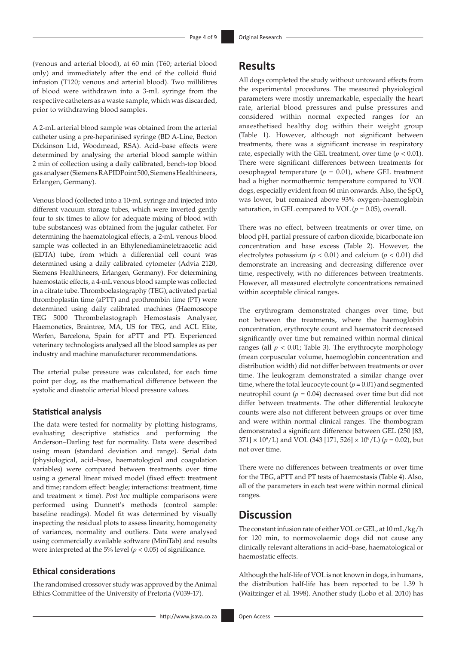(venous and arterial blood), at 60 min (T60; arterial blood only) and immediately after the end of the colloid fluid infusion (T120; venous and arterial blood). Two millilitres of blood were withdrawn into a 3-mL syringe from the respective catheters as a waste sample, which was discarded, prior to withdrawing blood samples.

A 2-mL arterial blood sample was obtained from the arterial catheter using a pre-heparinised syringe (BD A-Line, Becton Dickinson Ltd, Woodmead, RSA). Acid–base effects were determined by analysing the arterial blood sample within 2 min of collection using a daily calibrated, bench-top blood gas analyser (Siemens RAPIDPoint 500, Siemens Healthineers, Erlangen, Germany).

Venous blood (collected into a 10-mL syringe and injected into different vacuum storage tubes, which were inverted gently four to six times to allow for adequate mixing of blood with tube substances) was obtained from the jugular catheter. For determining the haematological effects, a 2-mL venous blood sample was collected in an Ethylenediaminetetraacetic acid (EDTA) tube, from which a differential cell count was determined using a daily calibrated cytometer (Advia 2120, Siemens Healthineers, Erlangen, Germany). For determining haemostatic effects, a 4-mL venous blood sample was collected in a citrate tube. Thromboelastography (TEG), activated partial thromboplastin time (aPTT) and prothrombin time (PT) were determined using daily calibrated machines (Haemoscope TEG 5000 Thrombelastograph Hemostasis Analyser, Haemonetics, Braintree, MA, US for TEG, and ACL Elite, Werfen, Barcelona, Spain for aPTT and PT). Experienced veterinary technologists analysed all the blood samples as per industry and machine manufacturer recommendations.

The arterial pulse pressure was calculated, for each time point per dog, as the mathematical difference between the systolic and diastolic arterial blood pressure values.

#### **Statistical analysis**

The data were tested for normality by plotting histograms, evaluating descriptive statistics and performing the Anderson–Darling test for normality. Data were described using mean (standard deviation and range). Serial data (physiological, acid–base, haematological and coagulation variables) were compared between treatments over time using a general linear mixed model (fixed effect: treatment and time; random effect: beagle; interactions: treatment, time and treatment × time). *Post hoc* multiple comparisons were performed using Dunnett's methods (control sample: baseline readings). Model fit was determined by visually inspecting the residual plots to assess linearity, homogeneity of variances, normality and outliers. Data were analysed using commercially available software (MiniTab) and results were interpreted at the 5% level ( $p < 0.05$ ) of significance.

## **Ethical considerations**

The randomised crossover study was approved by the Animal Ethics Committee of the University of Pretoria (V039-17).

## **Results**

All dogs completed the study without untoward effects from the experimental procedures. The measured physiological parameters were mostly unremarkable, especially the heart rate, arterial blood pressures and pulse pressures and considered within normal expected ranges for an anaesthetised healthy dog within their weight group (Table 1). However, although not significant between treatments, there was a significant increase in respiratory rate, especially with the GEL treatment, over time  $(p < 0.01)$ . There were significant differences between treatments for oesophageal temperature  $(p = 0.01)$ , where GEL treatment had a higher normothermic temperature compared to VOL dogs, especially evident from 60 min onwards. Also, the SpO, was lower, but remained above 93% oxygen–haemoglobin saturation, in GEL compared to VOL  $(p = 0.05)$ , overall.

There was no effect, between treatments or over time, on blood pH, partial pressure of carbon dioxide, bicarbonate ion concentration and base excess (Table 2). However, the electrolytes potassium ( $p < 0.01$ ) and calcium ( $p < 0.01$ ) did demonstrate an increasing and decreasing difference over time, respectively, with no differences between treatments. However, all measured electrolyte concentrations remained within acceptable clinical ranges.

The erythrogram demonstrated changes over time, but not between the treatments, where the haemoglobin concentration, erythrocyte count and haematocrit decreased significantly over time but remained within normal clinical ranges (all  $p < 0.01$ ; Table 3). The erythrocyte morphology (mean corpuscular volume, haemoglobin concentration and distribution width) did not differ between treatments or over time. The leukogram demonstrated a similar change over time, where the total leucocyte count  $(p = 0.01)$  and segmented neutrophil count  $(p = 0.04)$  decreased over time but did not differ between treatments. The other differential leukocyte counts were also not different between groups or over time and were within normal clinical ranges. The thombogram demonstrated a significant difference between GEL (250 [83,  $371 \times 10^9$ /L) and VOL (343 [171, 526]  $\times 10^9$ /L) ( $p = 0.02$ ), but not over time.

There were no differences between treatments or over time for the TEG, aPTT and PT tests of haemostasis (Table 4). Also, all of the parameters in each test were within normal clinical ranges.

# **Discussion**

The constant infusion rate of either VOL or GEL, at 10 mL/kg/h for 120 min, to normovolaemic dogs did not cause any clinically relevant alterations in acid–base, haematological or haemostatic effects.

Although the half-life of VOL is not known in dogs, in humans, the distribution half-life has been reported to be 1.39 h (Waitzinger et al. 1998). Another study (Lobo et al. 2010) has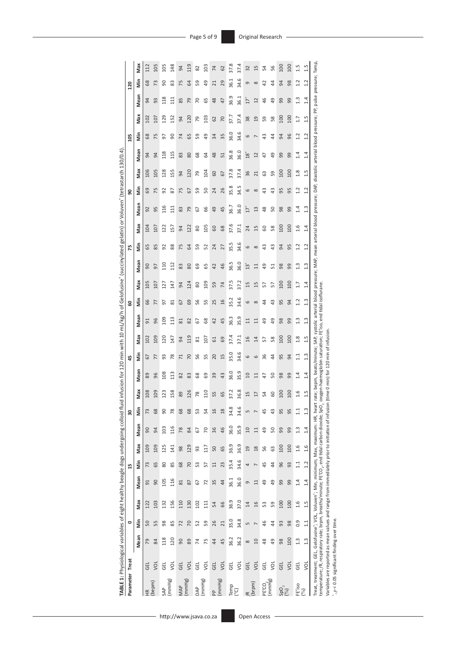| TABLE 1: Physiological variables of eight healthy beagle dogs undergoing colloid flu                                                                                                                   |            |                |                 |                |                 |                |      |                |                |      |                                                              |                 |           |                  |                |      |               |           | id infusion for 120 min with 10 mL/kg/h of Gelofusine" (succinylated gelatin) or Voluven" (tetrastarch 130/0.4)                                                 |               |                     |               |                |                |                 |                |                |
|--------------------------------------------------------------------------------------------------------------------------------------------------------------------------------------------------------|------------|----------------|-----------------|----------------|-----------------|----------------|------|----------------|----------------|------|--------------------------------------------------------------|-----------------|-----------|------------------|----------------|------|---------------|-----------|-----------------------------------------------------------------------------------------------------------------------------------------------------------------|---------------|---------------------|---------------|----------------|----------------|-----------------|----------------|----------------|
| Parameter Treat                                                                                                                                                                                        |            |                | 0               |                |                 | 15             |      |                | 30             |      |                                                              | 45              |           |                  | 8              |      |               | 75        |                                                                                                                                                                 | 90            |                     |               | $\frac{20}{2}$ |                |                 | 120            |                |
|                                                                                                                                                                                                        |            | Mean           | im              | Max            | Mean            | İn             | Max  | Mean           | Ś              | Max  | Mean                                                         | im              | Max       | Mean             | in<br>Min      | Max  | Mean          | in<br>Min | Max                                                                                                                                                             | Mean          | Max<br>Niin         | Mean          | έ              | Max            | Mean            | Šin            | Max            |
| $\frac{\alpha}{\pi}$                                                                                                                                                                                   | 디<br>이     | 79             | 50              | 122            | 51              | 73             | 109  | 90             | 73             | 108  | 89                                                           | 57              | 102       | 51               | 99             | 105  | 90            | 59        | 104                                                                                                                                                             | 92            | 106<br>69           | 94            | 89             | 102            | 54              | 68             | 112            |
| (bepm)                                                                                                                                                                                                 | š          | 84             | 55              | 103            | 90              | 65             | 109  | $\overline{a}$ | 68             | 109  | 96                                                           | 77              | 109       | 96               | 77             | 107  | 97            | 85        | 107                                                                                                                                                             | 95            | 105<br>75           | 94            | 75             | 107            | සි              | 73             | 105            |
| SAP                                                                                                                                                                                                    | 딩          | 118            | 98              | 132            | 105             | 80             | 125  | 103            | $\overline{0}$ | 123  | 108                                                          | 93              | 120       | $\frac{109}{20}$ | 5              | 127  | 110           | 52        | 122                                                                                                                                                             | 116           | 128<br>92           | 118           | 5              | 129            | 118             | ခ              | 105            |
| (mmHg)                                                                                                                                                                                                 | š          | 120            | 85              | 156            | 116             | 85             | 141  | 116            | 78             | 158  | 113                                                          | $\overline{78}$ | 147       | 113              | ∞              | 147  | 112           | 88        | 157                                                                                                                                                             | $\Xi$         | 155<br>87           | 115           | Ձ              | 52             | $\overline{11}$ | 83             | 148            |
| MAP                                                                                                                                                                                                    | GEL        | 90             | 72              | 110            | $\overline{81}$ | 68             | 98   | 78             | 68             | 89   | 82                                                           | $\mathsf{r}$    | 5         | $\overline{8}$   | 5              | 5    | 83            | 75        | $\overline{5}$                                                                                                                                                  | 83            | 54<br>75            | 83            | 74             | 54             | 85              | 75             | 54             |
| (mmHg)                                                                                                                                                                                                 | you        | 89             | 20              | 130            | 87              | 20             | 129  | 84             | 68             | 126  | 83                                                           | 70              | 119       | 82               | 69             | 124  | 80            | 3         | 122                                                                                                                                                             | 54            | 120<br>57           | 80            | 65             | 120            | 54              | 3              | 119            |
| DAP                                                                                                                                                                                                    | 딩          | $\overline{z}$ | 52              | 102            | 67              | ဣ              | 93   | 67             | 53             | 78   | 68                                                           | 56              | 81        | 67               | 95             | 8    | 69            | S9        | 80                                                                                                                                                              | 67            | 54<br>59            | 68            | S9             | 54             | 5               | S9             | 82             |
| (mmHg)                                                                                                                                                                                                 | vol        | 75             | 59              | 111            | 72              | 57             | 117  | 20             | 54             | 110  | 69                                                           | 55              | 107       | 68               | 55             | 109  | 65            | 52        | 105                                                                                                                                                             | 99            | 104<br>50           | 64            | 9              | 103            | 59              | $\overline{q}$ | 103            |
| PP                                                                                                                                                                                                     | GEL        | $\overline{4}$ | 26              | 54             | 35              | $\Xi$          | 50   | 36             | 16             | 55   | 39                                                           | 20              | 5         | 42               | 25             | 59   | 42            | 24        | GO                                                                                                                                                              | 9             | 60<br>24            | 48            | 34             | 3              | $\frac{8}{2}$   | $\overline{c}$ | 74             |
| (mmHg)                                                                                                                                                                                                 | you        | 45             | $\overline{21}$ | 66             | 44              | 23             | 65   | 46             | $\frac{8}{2}$  | 65   | 43                                                           | 15              | 69        | 45               | 16             | 74   | 46            | 27        | 68                                                                                                                                                              | 45            | 67<br>26            | 51            | 35             | 20             | 47              | 29             | 62             |
| Temp                                                                                                                                                                                                   | 딩          | 36.2           | 35.0            | 36.9           | 36.1            | 35.4           | 36.9 | 36.0           | 34.8           | 37.2 | 36.0                                                         | 35.0            | 37.4      | 36.3             | 35.2           | 37.5 | 36.5          | 35.5      | 37.6                                                                                                                                                            | 36.7          | 37.8<br>35.8        | 36.8          | 36.0           | 37.7           | 36.9            | 36.1           | 37.8           |
| ၉၅                                                                                                                                                                                                     | yor        | 36.2           | 34.8            | 37.0           | 36.0            | 34.6           | 36.9 | 35.9           | 34.6           | 36.8 | 35.9                                                         | 34.6            | 37.1      | 35.9             | 34.6           | 37.2 | 36.0          | 34.6      | 37.1                                                                                                                                                            | 36.0          | 37.4<br>34.5        | 36.0          | 34.6           | 37.4           | 36.1            | 34.6           | 37.4           |
| E                                                                                                                                                                                                      | <b>GEL</b> | $\infty$       | LN              | $\overline{1}$ | G               | 4              | 19   | $\Omega$       | Б              | 15   | 10                                                           | 6               | 16        | 급                | 6              | 15   | Ϊä            | 6         | 24                                                                                                                                                              | $\tilde{L}$   | 36<br>6             | $\frac{8}{3}$ | 6              | 38             | İ               | თ              | 32             |
| (brpm)                                                                                                                                                                                                 | <b>DI</b>  | $\Omega$       | $\overline{ }$  | 16             | $\Xi$           | $\overline{ }$ | 18   | $\Xi$          |                | 17   | $\Xi$                                                        | 6               | $\vec{a}$ | $\Xi$            | $\infty$       | 15   | $\Xi$         | $\infty$  | 15                                                                                                                                                              | $\frac{3}{2}$ | ನ<br>$\infty$       | 12            | L              | $\overline{a}$ | 2               | $\infty$       | 15             |
| PE'CO,                                                                                                                                                                                                 | 딩          | $\frac{8}{3}$  | 46              | S3             | 49              | 45             | 56   | 49             | 45             | 54   | 47                                                           | 36              | 57        | ე<br>მ           | 4              | 57   | $^{49}$       | 43        | 8                                                                                                                                                               | $\frac{8}{2}$ | ය<br>$\frac{3}{4}$  | 47            | ₩              | 59             | 46              | 5              | 24             |
| mmHg                                                                                                                                                                                                   | š          | ę              | \$              | 59             | ę               | 4              | 63   | 50             | $^{43}$        | 60   | 50                                                           | 44              | 58        | QÞ               | 43             | 57   | 51            | 43        | 58                                                                                                                                                              | 50            | 59<br>$\frac{3}{4}$ | $^{49}$       | 4              | 58             | අ               | $\overline{4}$ | 56             |
| $SO_{0}^{2}$                                                                                                                                                                                           | GEL        | 98             | 93              | 100            | 99              | 96             | 100  | 99             | 95             | 100  | 98                                                           | 95              | 100       | 98               | 95             | 100  | 98            | 54        | 100                                                                                                                                                             | 98            | 100<br>95           | 99            | 54             | 100            | ஜ               | 5              | $\overline{5}$ |
|                                                                                                                                                                                                        | you        | 100            | 98              | 100            | 99              | 93             | 100  | 99             | 95             | 100  | 99                                                           | 94              | 100       | 99               | $\overline{a}$ | 100  | 99            | 95        | 100                                                                                                                                                             | 99            | 100<br>95           | 99            | 96             | 100            | 99              | 98             | 100            |
| FE'iso                                                                                                                                                                                                 | GEL        | 1.3            | 0.9             | 1.6            | 1.4             | 11             | 1.6  | 1.3            | $\frac{1}{11}$ | 1.6  | 1.4                                                          | 1.1             | 1.8       | 1.3              | 1.2            |      | $\frac{3}{1}$ | 1.2       | 1.6                                                                                                                                                             | 1.4           | 1.8<br>1.2          | 1.4           | 1.2            | 1.7            | 1.3             | 1.2            | 1.5            |
| 8                                                                                                                                                                                                      | š          | 1.3            | 11              | 1.5            | 1.4             | 1.2            | 1.6  | 1.4            | 1.3            | 1.5  | 1.4                                                          | 1.3             | 1.5       | 1.3              | 1.3            | 1.4  | 1.3           | 1.2       | 1.4                                                                                                                                                             | 1.3           | 1.5<br>1.2          | 1.4           | 1.2            | 1.5            | 1.4             | 1.2            | 1.5            |
| Treat, treatment; GEL, Gelofusine°; VOL, Voluven°; Min, minimum; Max, maximum: HR, hear<br>temperature; /R, respiratory rate; brpm, breaths/minute; PE'CO <sub>2</sub> , end tidal carbon dioxide; SpO |            |                |                 |                |                 |                |      |                |                |      | oxygen-haemoglobin saturation; FE'iso, end tidal isoflurane. |                 |           |                  |                |      |               |           | rate; bepm, beats/minute; SAP, systolic arterial blood pressure; MAP, mean arterial blood pressure; DAP, diastolic arterial blood pressure; PP, pulse pressure; |               |                     |               |                |                |                 |                | Temp,          |

Variables are reported as mean values and range from immediately prior to initiation of infusion (time 0 min) for 120 min of infusion.

\*

, *p* < 0.05 significant finding over time.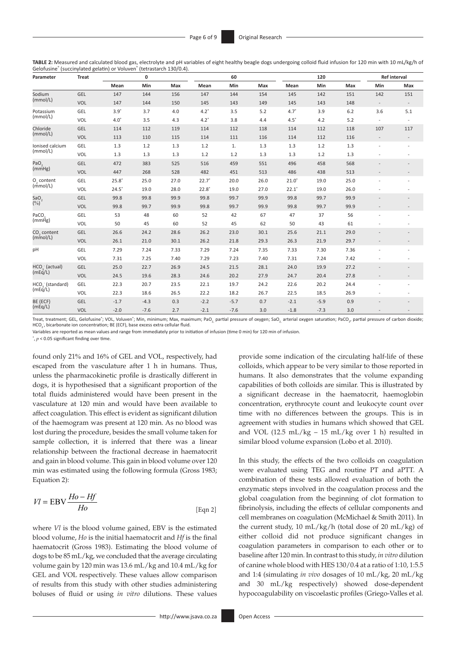**TABLE 2:** Measured and calculated blood gas, electrolyte and pH variables of eight healthy beagle dogs undergoing colloid fluid infusion for 120 min with 10 mL/kg/h of Gelofusine® (succinylated gelatin) or Voluven® (tetrastarch 130/0.4).

| Parameter                                                                                                                                        | <b>Treat</b> |         | 0       |      |         | 60     |      |         | 120    |     |                                                                                                                               | Ref interval |
|--------------------------------------------------------------------------------------------------------------------------------------------------|--------------|---------|---------|------|---------|--------|------|---------|--------|-----|-------------------------------------------------------------------------------------------------------------------------------|--------------|
|                                                                                                                                                  |              | Mean    | Min     | Max  | Mean    | Min    | Max  | Mean    | Min    | Max | Min                                                                                                                           | Max          |
| Sodium<br>(mmol/L)<br>(mmol/L)<br>(mmol/L)<br>(mmol/L)<br>PaO <sub>2</sub><br>(mmHg)<br>$HCO3$ (standard)<br>(mEq/L)                             | GEL          | 147     | 144     | 156  | 147     | 144    | 154  | 145     | 142    | 151 | 142                                                                                                                           | 151          |
|                                                                                                                                                  | VOL          | 147     | 144     | 150  | 145     | 143    | 149  | 145     | 143    | 148 | $\overline{\phantom{a}}$<br>3.6<br>$\overline{\phantom{a}}$<br>107<br>$\overline{\phantom{a}}$                                |              |
| Potassium                                                                                                                                        | GEL          | $3.9*$  | 3.7     | 4.0  | $4.2*$  | 3.5    | 5.2  | $4.7*$  | 3.9    | 6.2 |                                                                                                                               | 5.1          |
|                                                                                                                                                  | <b>VOL</b>   | $4.0*$  | 3.5     | 4.3  | $4.2^*$ | 3.8    | 4.4  | $4.5*$  | 4.2    | 5.2 |                                                                                                                               |              |
| Chloride                                                                                                                                         | GEL          | 114     | 112     | 119  | 114     | 112    | 118  | 114     | 112    | 118 |                                                                                                                               | 117          |
|                                                                                                                                                  | VOL          | 113     | 110     | 115  | 114     | 111    | 116  | 114     | 112    | 116 |                                                                                                                               |              |
| Ionised calcium                                                                                                                                  | GEL          | 1.3     | $1.2\,$ | 1.3  | 1.2     | 1.     | 1.3  | $1.3\,$ | 1.2    | 1.3 |                                                                                                                               |              |
|                                                                                                                                                  | VOL          | 1.3     | 1.3     | 1.3  | 1.2     | 1.2    | 1.3  | 1.3     | 1.2    | 1.3 |                                                                                                                               |              |
|                                                                                                                                                  | GEL          | 472     | 383     | 525  | 516     | 459    | 551  | 496     | 458    | 568 | 513<br>25.0<br>26.0<br>99.9<br>99.9<br>56<br>61<br>29.0<br>29.7<br>7.36<br>7.42<br>27.2<br>27.8<br>24.4<br>26.9<br>0.9<br>3.0 |              |
|                                                                                                                                                  | VOL          | 447     | 268     | 528  | 482     | 451    | 513  | 486     | 438    |     |                                                                                                                               |              |
|                                                                                                                                                  | GEL          | $25.8*$ | 25.0    | 27.0 | $22.7*$ | 20.0   | 26.0 | $21.0*$ | 19.0   |     |                                                                                                                               |              |
|                                                                                                                                                  | VOL          | $24.5*$ | 19.0    | 28.0 | $22.8*$ | 19.0   | 27.0 | $22.1*$ | 19.0   |     |                                                                                                                               |              |
| SaO <sub>2</sub>                                                                                                                                 | GEL          | 99.8    | 99.8    | 99.9 | 99.8    | 99.7   | 99.9 | 99.8    | 99.7   |     |                                                                                                                               |              |
|                                                                                                                                                  | <b>VOL</b>   | 99.8    | 99.7    | 99.9 | 99.8    | 99.7   | 99.9 | 99.8    | 99.7   |     |                                                                                                                               |              |
|                                                                                                                                                  | GEL          | 53      | 48      | 60   | 52      | 42     | 67   | 47      | 37     |     |                                                                                                                               |              |
|                                                                                                                                                  | <b>VOL</b>   | 50      | 45      | 60   | 52      | 45     | 62   | 50      | 43     |     |                                                                                                                               |              |
|                                                                                                                                                  | GEL          | 26.6    | 24.2    | 28.6 | 26.2    | 23.0   | 30.1 | 25.6    | 21.1   |     |                                                                                                                               |              |
|                                                                                                                                                  | VOL          | 26.1    | 21.0    | 30.1 | 26.2    | 21.8   | 29.3 | 26.3    | 21.9   |     |                                                                                                                               |              |
| pH                                                                                                                                               | GEL          | 7.29    | 7.24    | 7.33 | 7.29    | 7.24   | 7.35 | 7.33    | 7.30   |     |                                                                                                                               |              |
|                                                                                                                                                  | VOL          | 7.31    | 7.25    | 7.40 | 7.29    | 7.23   | 7.40 | 7.31    | 7.24   |     |                                                                                                                               |              |
| O <sub>2</sub> content<br>(mmol/L)<br>PaCO <sub>2</sub><br>(mmHg)<br>CO <sub>2</sub> content<br>(mmol/L)<br>HCO <sub>3</sub> (actual)<br>(mEq/L) | GEL          | 25.0    | 22.7    | 26.9 | 24.5    | 21.5   | 28.1 | 24.0    | 19.9   |     |                                                                                                                               |              |
|                                                                                                                                                  | VOL          | 24.5    | 19.6    | 28.3 | 24.6    | 20.2   | 27.9 | 24.7    | 20.4   |     |                                                                                                                               |              |
|                                                                                                                                                  | GEL          | 22.3    | 20.7    | 23.5 | 22.1    | 19.7   | 24.2 | 22.6    | 20.2   |     |                                                                                                                               |              |
|                                                                                                                                                  | VOL          | 22.3    | 18.6    | 26.5 | 22.2    | 18.2   | 26.7 | 22.5    | 18.5   |     |                                                                                                                               |              |
| BE (ECF)                                                                                                                                         | GEL          | $-1.7$  | $-4.3$  | 0.3  | $-2.2$  | $-5.7$ | 0.7  | $-2.1$  | $-5.9$ |     |                                                                                                                               |              |
| (mEq/L)                                                                                                                                          | VOL          | $-2.0$  | $-7.6$  | 2.7  | $-2.1$  | $-7.6$ | 3.0  | $-1.8$  | $-7.3$ |     |                                                                                                                               |              |

Treat, treatment; GEL, Gelofusine"; VOL, Voluven"; Min, minimum; Max, maximum; PaO<sub><sub>2,</sub> Partial pressure of oxygen; SaO<sub>2,</sub> arterial oxygen saturation; PaCO<sub>2</sub>, partial pressure of carbon dioxide;<br>HCO<sub>3</sub>, bicarbonate ion c</sub>

Variables are reported as mean values and range from immediately prior to initiation of infusion (time 0 min) for 120 min of infusion.

\* , *p* < 0.05 significant finding over time.

found only 21% and 16% of GEL and VOL, respectively, had escaped from the vasculature after 1 h in humans. Thus, unless the pharmacokinetic profile is drastically different in dogs, it is hypothesised that a significant proportion of the total fluids administered would have been present in the vasculature at 120 min and would have been available to affect coagulation. This effect is evident as significant dilution of the haemogram was present at 120 min. As no blood was lost during the procedure, besides the small volume taken for sample collection, it is inferred that there was a linear relationship between the fractional decrease in haematocrit and gain in blood volume. This gain in blood volume over 120 min was estimated using the following formula (Gross 1983; Equation 2):

$$
VI = EBV \frac{Ho - Hf}{Ho} \tag{Eqn 2}
$$

where *Vl* is the blood volume gained, EBV is the estimated blood volume, *Ho* is the initial haematocrit and *Hf* is the final haematocrit (Gross 1983). Estimating the blood volume of dogs to be 85 mL/kg, we concluded that the average circulating volume gain by 120 min was 13.6 mL/kg and 10.4 mL/kg for GEL and VOL respectively. These values allow comparison of results from this study with other studies administering boluses of fluid or using *in vitro* dilutions. These values provide some indication of the circulating half-life of these colloids, which appear to be very similar to those reported in humans. It also demonstrates that the volume expanding capabilities of both colloids are similar. This is illustrated by a significant decrease in the haematocrit, haemoglobin concentration, erythrocyte count and leukocyte count over time with no differences between the groups. This is in agreement with studies in humans which showed that GEL and VOL (12.5 mL/kg – 15 mL/kg over 1 h) resulted in similar blood volume expansion (Lobo et al. 2010).

In this study, the effects of the two colloids on coagulation were evaluated using TEG and routine PT and aPTT. A combination of these tests allowed evaluation of both the enzymatic steps involved in the coagulation process and the global coagulation from the beginning of clot formation to fibrinolysis, including the effects of cellular components and cell membranes on coagulation (McMichael & Smith 2011). In the current study, 10 mL/kg/h (total dose of 20 mL/kg) of either colloid did not produce significant changes in coagulation parameters in comparison to each other or to baseline after 120 min. In contrast to this study, *in vitro* dilution of canine whole blood with HES 130/0.4 at a ratio of 1:10, 1:5.5 and 1:4 (simulating *in vivo* dosages of 10 mL/kg, 20 mL/kg and 30 mL/kg respectively) showed dose-dependent hypocoagulability on viscoelastic profiles (Griego-Valles et al.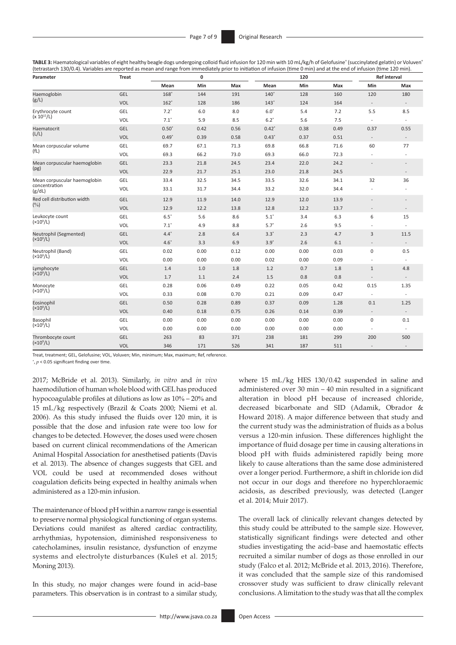**TABLE 3:** Haematological variables of eight healthy beagle dogs undergoing colloid fluid infusion for 120 min with 10 mL/kg/h of Gelofusine® (succinylated gelatin) or Voluven' (tetrastarch 130/0.4). Variables are reported as mean and range from immediately prior to initiation of infusion (time 0 min) and at the end of infusion (time 120 min).

| Parameter                    | <b>Treat</b> |         | 0    |      |             | 120  |      |                          | <b>Ref interval</b>      |
|------------------------------|--------------|---------|------|------|-------------|------|------|--------------------------|--------------------------|
|                              |              | Mean    | Min  | Max  | Mean        | Min  | Max  | Min                      | Max                      |
| Haemoglobin                  | GEL          | $168*$  | 144  | 191  | $140^\circ$ | 128  | 160  | 120                      | 180                      |
| (g/L)                        | VOL          | $162*$  | 128  | 186  | $143*$      | 124  | 164  | $\overline{\phantom{a}}$ | $\overline{\phantom{a}}$ |
| Erythrocyte count            | GEL          | $7.2*$  | 6.0  | 8.0  | $6.0*$      | 5.4  | 7.2  | 5.5                      | 8.5                      |
| $(x 10^{12}/L)$              | VOL          | $7.1*$  | 5.9  | 8.5  | $6.2*$      | 5.6  | 7.5  | $\overline{\phantom{a}}$ |                          |
| Haematocrit                  | GEL          | $0.50*$ | 0.42 | 0.56 | $0.42*$     | 0.38 | 0.49 | 0.37                     | 0.55                     |
| (L/L)                        | VOL          | $0.49*$ | 0.39 | 0.58 | $0.43*$     | 0.37 | 0.51 | $\overline{\phantom{a}}$ |                          |
| Mean corpuscular volume      | GEL          | 69.7    | 67.1 | 71.3 | 69.8        | 66.8 | 71.6 | 60                       | 77                       |
| (fL)                         | VOL          | 69.3    | 66.2 | 73.0 | 69.3        | 66.0 | 72.3 |                          |                          |
| Mean corpuscular haemoglobin | GEL          | 23.3    | 21.8 | 24.5 | 23.4        | 22.0 | 24.2 | $\overline{a}$           | $\overline{\phantom{a}}$ |
| (pg)                         | VOL          | 22.9    | 21.7 | 25.1 | 23.0        | 21.8 | 24.5 |                          |                          |
| Mean corpuscular haemoglobin | GEL          | 33.4    | 32.5 | 34.5 | 33.5        | 32.6 | 34.1 | 32                       | 36                       |
| concentration<br>(g/dL)      | <b>VOL</b>   | 33.1    | 31.7 | 34.4 | 33.2        | 32.0 | 34.4 | $\overline{a}$           |                          |
| Red cell distribution width  | GEL          | 12.9    | 11.9 | 14.0 | 12.9        | 12.0 | 13.9 | $\overline{a}$           |                          |
| $(\%)$                       | VOL          | 12.9    | 12.2 | 13.8 | 12.8        | 12.2 | 13.7 |                          | $\overline{\phantom{a}}$ |
| Leukocyte count              | GEL          | $6.5*$  | 5.6  | 8.6  | $5.1*$      | 3.4  | 6.3  | 6                        | 15                       |
| (x10 <sup>9</sup> /L)        | <b>VOL</b>   | $7.1*$  | 4.9  | 8.8  | $5.7*$      | 2.6  | 9.5  |                          |                          |
| Neutrophil (Segmented)       | GEL          | $4.4*$  | 2.8  | 6.4  | $3.3*$      | 2.3  | 4.7  | 3                        | 11.5                     |
| (x10 <sup>9</sup> /L)        | VOL          | $4.6*$  | 3.3  | 6.9  | $3.9*$      | 2.6  | 6.1  | $\overline{a}$           | $\overline{\phantom{a}}$ |
| Neutrophil (Band)            | GEL          | 0.02    | 0.00 | 0.12 | 0.00        | 0.00 | 0.03 | 0                        | 0.5                      |
| (x10 <sup>9</sup> /L)        | VOL          | 0.00    | 0.00 | 0.00 | 0.02        | 0.00 | 0.09 |                          | $\overline{\phantom{a}}$ |
| Lymphocyte                   | GEL          | 1.4     | 1.0  | 1.8  | 1.2         | 0.7  | 1.8  | $\mathbf{1}$             | 4.8                      |
| $(x10^9/L)$                  | VOL          | 1.7     | 1.1  | 2.4  | 1.5         | 0.8  | 0.8  |                          |                          |
| Monocyte                     | GEL          | 0.28    | 0.06 | 0.49 | 0.22        | 0.05 | 0.42 | 0.15                     | 1.35                     |
| (x10 <sup>9</sup> /L)        | VOL          | 0.33    | 0.08 | 0.70 | 0.21        | 0.09 | 0.47 | $\overline{\phantom{a}}$ | $\overline{\phantom{a}}$ |
| Eosinophil                   | GEL          | 0.50    | 0.28 | 0.89 | 0.37        | 0.09 | 1.28 | 0.1                      | 1.25                     |
| (x10 <sup>9</sup> /L)        | VOL          | 0.40    | 0.18 | 0.75 | 0.26        | 0.14 | 0.39 | $\overline{\phantom{a}}$ | $\overline{\phantom{a}}$ |
| Basophil                     | GEL          | 0.00    | 0.00 | 0.00 | 0.00        | 0.00 | 0.00 | 0                        | 0.1                      |
| (x10 <sup>9</sup> /L)        | VOL          | 0.00    | 0.00 | 0.00 | 0.00        | 0.00 | 0.00 | $\overline{a}$           |                          |
| Thrombocyte count            | GEL          | 263     | 83   | 371  | 238         | 181  | 299  | 200                      | 500                      |
| (x10 <sup>9</sup> /L)        | VOL          | 346     | 171  | 526  | 341         | 187  | 511  | $\overline{\phantom{a}}$ | $\overline{\phantom{a}}$ |

Treat, treatment; GEL, Gelofusine; VOL, Voluven; Min, minimum; Max, maximum; Ref, reference.

\* , *p* < 0.05 significant finding over time.

2017; McBride et al. 2013). Similarly, *in vitro* and *in vivo* haemodilution of human whole blood with GEL has produced hypocoagulable profiles at dilutions as low as 10% – 20% and 15 mL/kg respectively (Brazil & Coats 2000; Niemi et al. 2006). As this study infused the fluids over 120 min, it is possible that the dose and infusion rate were too low for changes to be detected. However, the doses used were chosen based on current clinical recommendations of the American Animal Hospital Association for anesthetised patients (Davis et al. 2013). The absence of changes suggests that GEL and VOL could be used at recommended doses without coagulation deficits being expected in healthy animals when administered as a 120-min infusion.

The maintenance of blood pH within a narrow range is essential to preserve normal physiological functioning of organ systems. Deviations could manifest as altered cardiac contractility, arrhythmias, hypotension, diminished responsiveness to catecholamines, insulin resistance, dysfunction of enzyme systems and electrolyte disturbances (Kuleš et al. 2015; Moning 2013).

In this study, no major changes were found in acid–base parameters. This observation is in contrast to a similar study, where 15 mL/kg HES 130/0.42 suspended in saline and administered over 30 min – 40 min resulted in a significant alteration in blood pH because of increased chloride, decreased bicarbonate and SID (Adamik, Obrador & Howard 2018). A major difference between that study and the current study was the administration of fluids as a bolus versus a 120-min infusion. These differences highlight the importance of fluid dosage per time in causing alterations in blood pH with fluids administered rapidly being more likely to cause alterations than the same dose administered over a longer period. Furthermore, a shift in chloride ion did not occur in our dogs and therefore no hyperchloraemic acidosis, as described previously, was detected (Langer et al. 2014; Muir 2017).

The overall lack of clinically relevant changes detected by this study could be attributed to the sample size. However, statistically significant findings were detected and other studies investigating the acid–base and haemostatic effects recruited a similar number of dogs as those enrolled in our study (Falco et al. 2012; McBride et al. 2013, 2016). Therefore, it was concluded that the sample size of this randomised crossover study was sufficient to draw clinically relevant conclusions. A limitation to the study was that all the complex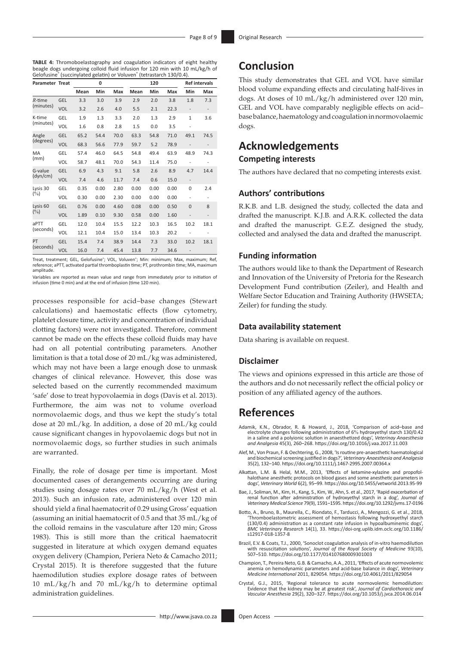**TABLE 4:** Thromoboelastography and coagulation indicators of eight healthy beagle dogs undergoing colloid fluid infusion for 120 min with 10 mL/kg/h of Gelofusine® (succinylated gelatin) or Voluven® (tetrastarch 130/0.4).

| <b>Parameter Treat</b> |            |      | 0    |      |      | 120  |      |                                                                                                                                                                         | <b>Ref intervals</b> |
|------------------------|------------|------|------|------|------|------|------|-------------------------------------------------------------------------------------------------------------------------------------------------------------------------|----------------------|
|                        |            | Mean | Min  | Max  | Mean | Min  | Max  | Min                                                                                                                                                                     | Max                  |
| $R$ -time              | GEL        | 3.3  | 3.0  | 3.9  | 2.9  | 2.0  | 3.8  | 1.8                                                                                                                                                                     | 7.3                  |
| (minutes)              | VOL        | 3.2  | 2.6  | 4.0  | 5.5  | 2.1  | 22.3 | $\overline{\phantom{m}}$                                                                                                                                                |                      |
| K-time                 | GEL        | 1.9  | 1.3  | 3.3  | 2.0  | 1.3  | 2.9  | $\mathbf{1}$                                                                                                                                                            | 3.6                  |
| (minutes)              | VOL        | 1.6  | 0.8  | 2.8  | 1.5  | 0.0  | 3.5  | L,<br>49.1<br>$\overline{a}$<br>48.9<br>4.7<br>$\overline{\phantom{a}}$<br>0<br>$\overline{a}$<br>$\overline{0}$<br>$\overline{a}$<br>10.2<br>10.2<br>$\qquad \qquad -$ |                      |
| Angle                  | GEL        | 65.2 | 54.4 | 70.0 | 63.3 | 54.8 | 71.0 |                                                                                                                                                                         | 74.5                 |
| (degrees)              | VOL        | 68.3 | 56.6 | 77.9 | 59.7 | 5.2  | 78.9 |                                                                                                                                                                         |                      |
| MA                     | GEL        | 57.4 | 46.0 | 64.5 | 54.8 | 49.4 | 63.9 |                                                                                                                                                                         | 74.3                 |
| (mm)                   | VOL        | 58.7 | 48.1 | 70.0 | 54.3 | 11.4 | 75.0 |                                                                                                                                                                         |                      |
| G-value                | GEL        | 6.9  | 4.3  | 9.1  | 5.8  | 2.6  | 8.9  |                                                                                                                                                                         | 14.4                 |
| (dyn/cm)               | VOL        | 7.4  | 4.6  | 11.7 | 7.4  | 0.6  | 15.0 |                                                                                                                                                                         |                      |
| Lysis 30               | GEL        | 0.35 | 0.00 | 2.80 | 0.00 | 0.00 | 0.00 |                                                                                                                                                                         | 2.4                  |
| $(\%)$                 | VOL        | 0.30 | 0.00 | 2.30 | 0.00 | 0.00 | 0.00 |                                                                                                                                                                         |                      |
| Lysis <sub>60</sub>    | GEL        | 0.76 | 0.00 | 4.60 | 0.08 | 0.00 | 0.50 |                                                                                                                                                                         | 8                    |
| $(\%)$                 | <b>VOL</b> | 1.89 | 0.10 | 9.30 | 0.58 | 0.00 | 1.60 |                                                                                                                                                                         |                      |
| aPTT                   | GEL        | 12.0 | 10.4 | 15.5 | 12.2 | 10.3 | 16.5 |                                                                                                                                                                         | 18.1                 |
| (seconds)              | VOL        | 12.1 | 10.4 | 15.0 | 13.4 | 10.3 | 20.2 |                                                                                                                                                                         |                      |
| PT                     | GEL        | 15.4 | 7.4  | 38.9 | 14.4 | 7.3  | 33.0 |                                                                                                                                                                         | 18.1                 |
| (seconds)              | <b>VOL</b> | 16.0 | 7.4  | 45.4 | 13.8 | 7.7  | 34.6 |                                                                                                                                                                         |                      |

Treat, treatment; GEL, Gelofusine<sup>®</sup>; VOL, Voluven<sup>®</sup>; Min: minimum; Max, maximum; Ref, reference; aPTT, activated partial thromboplastin time; PT, prothrombin time; MA, maximum amplitude.

Variables are reported as mean value and range from immediately prior to initiation of infusion (time 0 min) and at the end of infusion (time 120 min).

processes responsible for acid–base changes (Stewart calculations) and haemostatic effects (flow cytometry, platelet closure time, activity and concentration of individual clotting factors) were not investigated. Therefore, comment cannot be made on the effects these colloid fluids may have had on all potential contributing parameters. Another limitation is that a total dose of 20 mL/kg was administered, which may not have been a large enough dose to unmask changes of clinical relevance. However, this dose was selected based on the currently recommended maximum 'safe' dose to treat hypovolaemia in dogs (Davis et al. 2013). Furthermore, the aim was not to volume overload normovolaemic dogs, and thus we kept the study's total dose at 20 mL/kg. In addition, a dose of 20 mL/kg could cause significant changes in hypovolaemic dogs but not in normovolaemic dogs, so further studies in such animals are warranted.

Finally, the role of dosage per time is important. Most documented cases of derangements occurring are during studies using dosage rates over 70 mL/kg/h (West et al. 2013). Such an infusion rate, administered over 120 min should yield a final haematocrit of 0.29 using Gross' equation (assuming an initial haematocrit of 0.5 and that 35 mL/kg of the colloid remains in the vasculature after 120 min; Gross 1983). This is still more than the critical haematocrit suggested in literature at which oxygen demand equates oxygen delivery (Champion, Periera Neto & Camacho 2011; Crystal 2015). It is therefore suggested that the future haemodilution studies explore dosage rates of between 10 mL/kg/h and 70 mL/kg/h to determine optimal administration guidelines.

This study demonstrates that GEL and VOL have similar blood volume expanding effects and circulating half-lives in dogs. At doses of 10 mL/kg/h administered over 120 min, GEL and VOL have comparably negligible effects on acid– base balance, haematology and coagulation in normovolaemic dogs.

# **Acknowledgements**

## **Competing interests**

The authors have declared that no competing interests exist.

## **Authors' contributions**

R.K.B. and L.B. designed the study, collected the data and drafted the manuscript. K.J.B. and A.R.K. collected the data and drafted the manuscript. G.E.Z. designed the study, collected and analysed the data and drafted the manuscript.

## **Funding information**

The authors would like to thank the Department of Research and Innovation of the University of Pretoria for the Research Development Fund contribution (Zeiler), and Health and Welfare Sector Education and Training Authority (HWSETA; Zeiler) for funding the study.

### **Data availability statement**

Data sharing is available on request.

#### **Disclaimer**

The views and opinions expressed in this article are those of the authors and do not necessarily reflect the official policy or position of any affiliated agency of the authors.

## **References**

- Adamik, K.N., Obrador, R. & Howard, J., 2018, 'Comparison of acid–base and electrolyte changes following administration of 6% hydroxyethyl starch 130/0.42 in a saline and a polyionic solution in anaesthetized dogs', *Veterinay Anaesthesia and Analgesia* 45(3), 260–268.<https://doi.org/10.1016/j.vaa.2017.11.003>
- Alef, M., Von Praun, F. & Oechtering, G., 2008, 'Is routine pre-anaesthetic haematological and biochemical screening justified in dogs?', *Veterinary Anaesthesia and Analgesia* 35(2), 132–140.<https://doi.org/10.1111/j.1467-2995.2007.00364.x>
- Alkattan, L.M. & Helal, M.M., 2013, 'Effects of ketamine-xylazine and propofol-halothane anesthetic protocols on blood gases and some anesthetic parameters in dogs', *Veterinary World* 6(2), 95–99. <https://doi.org/10.5455/vetworld.2013.95-99>
- Bae, J., Soliman, M., Kim, H., Kang, S., Kim, W., Ahn, S. et al., 2017, 'Rapid exacerbation of renal function after administration of hydroxyethyl starch in a dog', *Journal of Veterinary Medical Science* 79(9), 1591–1595.<https://doi.org/10.1292/jvms.17-0196>
- Botto, A., Bruno, B., Maurella, C., Riondato, F., Tarducci, A., Mengozzi, G. et al., 2018, 'Thromboelastometric assessment of hemostasis following hydroxyethyl starch (130/0.4) administration as a constant rate infusion in hypoalbuminemic dogs', *BMC Veterinary Research* 14(1), 33. [https://doi-org.uplib.idm.oclc.org/10.1186/](https://doi-org.uplib.idm.oclc.org/10.1186/s12917-018-1357-8) [s12917-018-1357-8](https://doi-org.uplib.idm.oclc.org/10.1186/s12917-018-1357-8)
- Brazil, E.V. & Coats, T.J., 2000, 'Sonoclot coagulation analysis of in-vitro haemodilution with resuscitation solutions', *Journal of the Royal Society of Medicine* 93(10), 507–510.<https://doi.org/10.1177/014107680009301003>
- Champion, T., Pereira Neto, G.B. & Camacho, A.A., 2011, 'Effects of acute normovolemic anemia on hemodynamic parameters and acid-base balance in dogs', *Veterinary Medicine International* 2011, 829054.<https://doi.org/10.4061/2011/829054>
- Crystal, G.J., 2015, 'Regional tolerance to acute normovolemic hemodilution: Evidence that the kidney may be at greatest risk', *Journal of Cardiothoracic and Vascular Anesthesia* 29(2), 320–327. <https://doi.org/10.1053/j.jvca.2014.06.014>